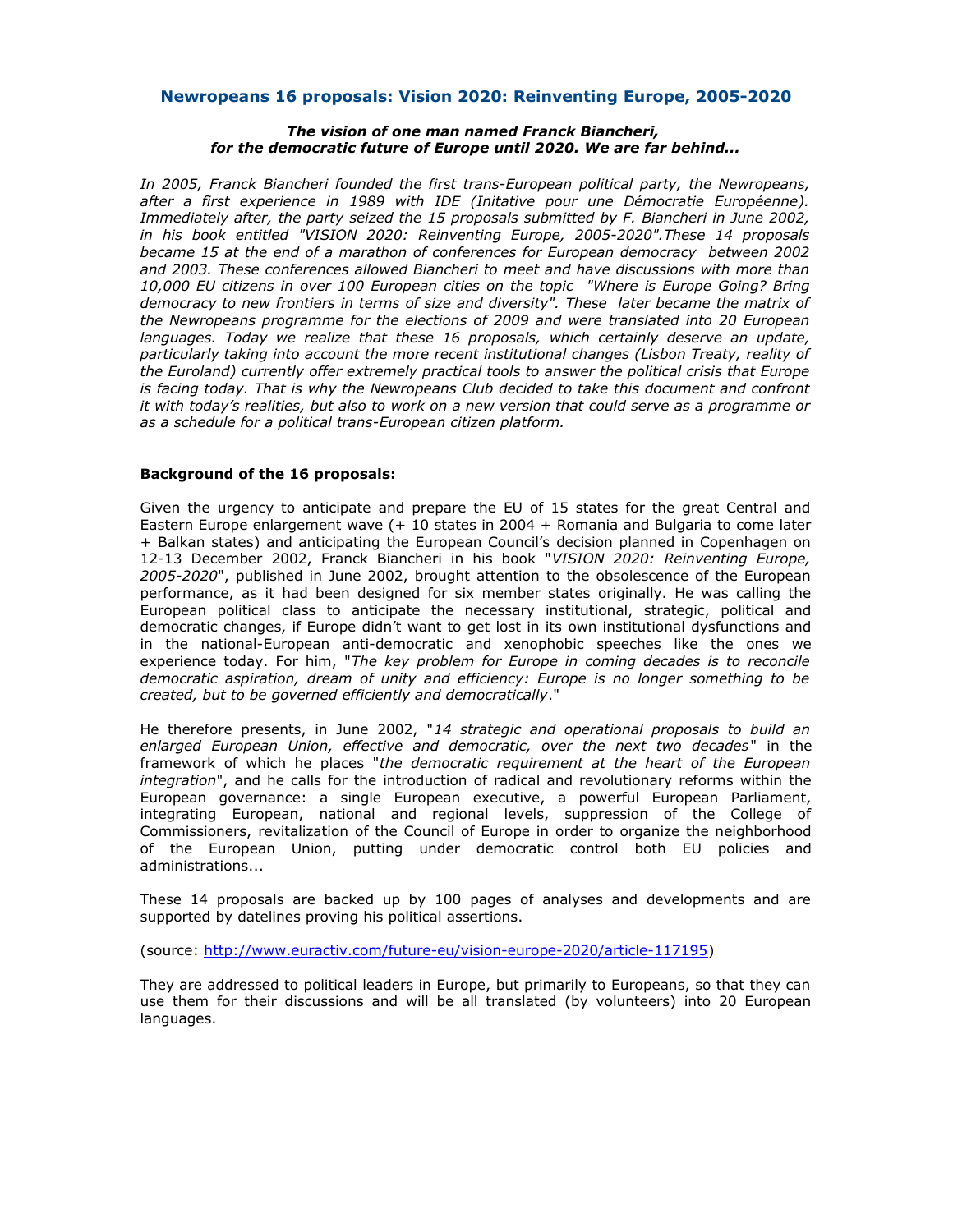# **Newropeans 16 proposals: Vision 2020: Reinventing Europe, 2005-2020**

### *The vision of one man named Franck Biancheri, for the democratic future of Europe until 2020. We are far behind...*

*In 2005, Franck Biancheri founded the first trans-European political party, the Newropeans, after a first experience in 1989 with IDE (Initative pour une Démocratie Européenne). Immediately after, the party seized the 15 proposals submitted by F. Biancheri in June 2002, in his book entitled "VISION 2020: Reinventing Europe, 2005-2020".These 14 proposals became 15 at the end of a marathon of conferences for European democracy between 2002 and 2003. These conferences allowed Biancheri to meet and have discussions with more than 10,000 EU citizens in over 100 European cities on the topic "Where is Europe Going? Bring democracy to new frontiers in terms of size and diversity". These later became the matrix of the Newropeans programme for the elections of 2009 and were translated into 20 European languages. Today we realize that these 16 proposals, which certainly deserve an update, particularly taking into account the more recent institutional changes (Lisbon Treaty, reality of the Euroland) currently offer extremely practical tools to answer the political crisis that Europe is facing today. That is why the Newropeans Club decided to take this document and confront it with today's realities, but also to work on a new version that could serve as a programme or as a schedule for a political trans-European citizen platform.*

## **Background of the 16 proposals:**

Given the urgency to anticipate and prepare the EU of 15 states for the great Central and Eastern Europe enlargement wave (+ 10 states in 2004 + Romania and Bulgaria to come later + Balkan states) and anticipating the European Council's decision planned in Copenhagen on 12-13 December 2002, Franck Biancheri in his book "*VISION 2020: Reinventing Europe, 2005-2020*", published in June 2002, brought attention to the obsolescence of the European performance, as it had been designed for six member states originally. He was calling the European political class to anticipate the necessary institutional, strategic, political and democratic changes, if Europe didn't want to get lost in its own institutional dysfunctions and in the national-European anti-democratic and xenophobic speeches like the ones we experience today. For him, "*The key problem for Europe in coming decades is to reconcile democratic aspiration, dream of unity and efficiency: Europe is no longer something to be created, but to be governed efficiently and democratically*."

He therefore presents, in June 2002, "*14 strategic and operational proposals to build an enlarged European Union, effective and democratic, over the next two decades*" in the framework of which he places "*the democratic requirement at the heart of the European integration*", and he calls for the introduction of radical and revolutionary reforms within the European governance: a single European executive, a powerful European Parliament, integrating European, national and regional levels, suppression of the College of Commissioners, revitalization of the Council of Europe in order to organize the neighborhood of the European Union, putting under democratic control both EU policies and administrations...

These 14 proposals are backed up by 100 pages of analyses and developments and are supported by datelines proving his political assertions.

(source: [http://www.euractiv.com/future-eu/vision-europe-2020/article-117195\)](http://www.euractiv.com/future-eu/vision-europe-2020/article-117195)

They are addressed to political leaders in Europe, but primarily to Europeans, so that they can use them for their discussions and will be all translated (by volunteers) into 20 European languages.